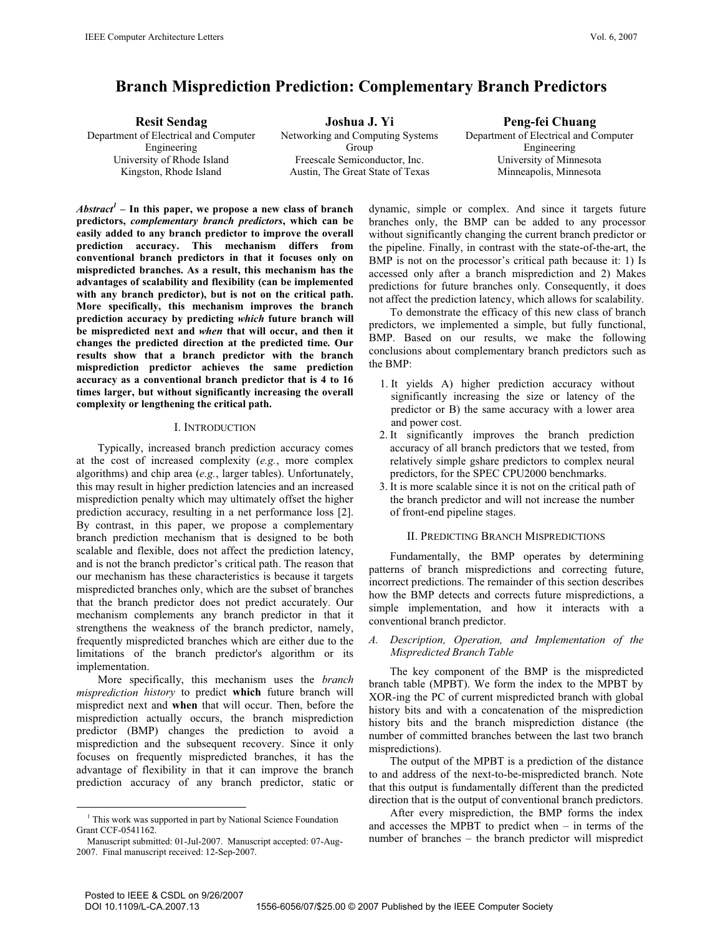# **Branch Misprediction Prediction: Complementary Branch Predictors**

| <b>Resit Sendag</b>                   | Joshua J. Yi                     | Peng-fei Chuang                       |  |
|---------------------------------------|----------------------------------|---------------------------------------|--|
| Department of Electrical and Computer | Networking and Computing Systems | Department of Electrical and Computer |  |
| Engineering                           | Group                            | Engineering                           |  |
| University of Rhode Island            | Freescale Semiconductor, Inc.    | University of Minnesota               |  |
| Kingston, Rhode Island                | Austin, The Great State of Texas | Minneapolis, Minnesota                |  |

*Abstract1* **– In this paper, we propose a new class of branch predictors,** *complementary branch predictors***, which can be easily added to any branch predictor to improve the overall prediction accuracy. This mechanism differs from conventional branch predictors in that it focuses only on mispredicted branches. As a result, this mechanism has the advantages of scalability and flexibility (can be implemented with any branch predictor), but is not on the critical path. More specifically, this mechanism improves the branch prediction accuracy by predicting** *which* **future branch will be mispredicted next and** *when* **that will occur, and then it changes the predicted direction at the predicted time. Our results show that a branch predictor with the branch misprediction predictor achieves the same prediction accuracy as a conventional branch predictor that is 4 to 16 times larger, but without significantly increasing the overall complexity or lengthening the critical path.**

#### I. INTRODUCTION

Typically, increased branch prediction accuracy comes at the cost of increased complexity (*e.g.*, more complex algorithms) and chip area (*e.g.*, larger tables). Unfortunately, this may result in higher prediction latencies and an increased misprediction penalty which may ultimately offset the higher prediction accuracy, resulting in a net performance loss [2]. By contrast, in this paper, we propose a complementary branch prediction mechanism that is designed to be both scalable and flexible, does not affect the prediction latency, and is not the branch predictor's critical path. The reason that our mechanism has these characteristics is because it targets mispredicted branches only, which are the subset of branches that the branch predictor does not predict accurately. Our mechanism complements any branch predictor in that it strengthens the weakness of the branch predictor, namely, frequently mispredicted branches which are either due to the limitations of the branch predictor's algorithm or its implementation.

More specifically, this mechanism uses the *branch misprediction history* to predict **which** future branch will mispredict next and **when** that will occur. Then, before the misprediction actually occurs, the branch misprediction predictor (BMP) changes the prediction to avoid a misprediction and the subsequent recovery. Since it only focuses on frequently mispredicted branches, it has the advantage of flexibility in that it can improve the branch prediction accuracy of any branch predictor, static or dynamic, simple or complex. And since it targets future branches only, the BMP can be added to any processor without significantly changing the current branch predictor or the pipeline. Finally, in contrast with the state-of-the-art, the BMP is not on the processor's critical path because it: 1) Is accessed only after a branch misprediction and 2) Makes predictions for future branches only. Consequently, it does not affect the prediction latency, which allows for scalability.

To demonstrate the efficacy of this new class of branch predictors, we implemented a simple, but fully functional, BMP. Based on our results, we make the following conclusions about complementary branch predictors such as the BMP:

- 1. It yields A) higher prediction accuracy without significantly increasing the size or latency of the predictor or B) the same accuracy with a lower area and power cost.
- 2. It significantly improves the branch prediction accuracy of all branch predictors that we tested, from relatively simple gshare predictors to complex neural predictors, for the SPEC CPU2000 benchmarks.
- 3. It is more scalable since it is not on the critical path of the branch predictor and will not increase the number of front-end pipeline stages.

# II. PREDICTING BRANCH MISPREDICTIONS

Fundamentally, the BMP operates by determining patterns of branch mispredictions and correcting future, incorrect predictions. The remainder of this section describes how the BMP detects and corrects future mispredictions, a simple implementation, and how it interacts with a conventional branch predictor.

# *A. Description, Operation, and Implementation of the Mispredicted Branch Table*

The key component of the BMP is the mispredicted branch table (MPBT). We form the index to the MPBT by XOR-ing the PC of current mispredicted branch with global history bits and with a concatenation of the misprediction history bits and the branch misprediction distance (the number of committed branches between the last two branch mispredictions).

The output of the MPBT is a prediction of the distance to and address of the next-to-be-mispredicted branch. Note that this output is fundamentally different than the predicted direction that is the output of conventional branch predictors.

After every misprediction, the BMP forms the index and accesses the MPBT to predict when – in terms of the number of branches – the branch predictor will mispredict

 $\frac{1}{1}$ <sup>1</sup> This work was supported in part by National Science Foundation Grant CCF-0541162.

Manuscript submitted: 01-Jul-2007. Manuscript accepted: 07-Aug-2007. Final manuscript received: 12-Sep-2007.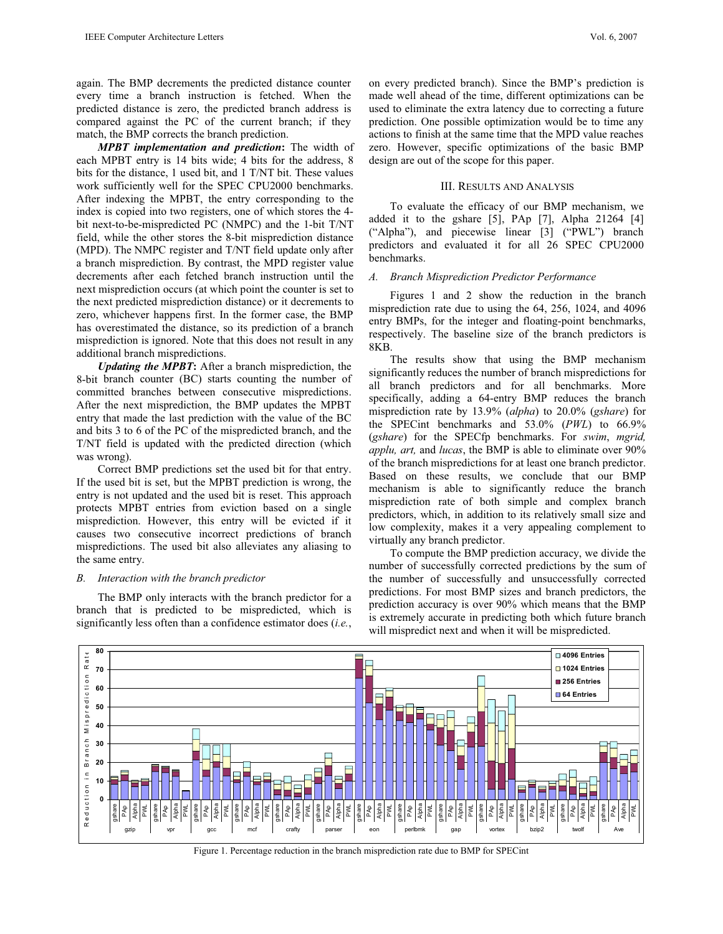again. The BMP decrements the predicted distance counter every time a branch instruction is fetched. When the predicted distance is zero, the predicted branch address is compared against the PC of the current branch; if they match, the BMP corrects the branch prediction.

*MPBT implementation and prediction***:** The width of each MPBT entry is 14 bits wide; 4 bits for the address, 8 bits for the distance, 1 used bit, and 1 T/NT bit. These values work sufficiently well for the SPEC CPU2000 benchmarks. After indexing the MPBT, the entry corresponding to the index is copied into two registers, one of which stores the 4 bit next-to-be-mispredicted PC (NMPC) and the 1-bit T/NT field, while the other stores the 8-bit misprediction distance (MPD). The NMPC register and T/NT field update only after a branch misprediction. By contrast, the MPD register value decrements after each fetched branch instruction until the next misprediction occurs (at which point the counter is set to the next predicted misprediction distance) or it decrements to zero, whichever happens first. In the former case, the BMP has overestimated the distance, so its prediction of a branch misprediction is ignored. Note that this does not result in any additional branch mispredictions.

*Updating the MPBT***:** After a branch misprediction, the 8-bit branch counter (BC) starts counting the number of committed branches between consecutive mispredictions. After the next misprediction, the BMP updates the MPBT entry that made the last prediction with the value of the BC and bits 3 to 6 of the PC of the mispredicted branch, and the T/NT field is updated with the predicted direction (which was wrong).

Correct BMP predictions set the used bit for that entry. If the used bit is set, but the MPBT prediction is wrong, the entry is not updated and the used bit is reset. This approach protects MPBT entries from eviction based on a single misprediction. However, this entry will be evicted if it causes two consecutive incorrect predictions of branch mispredictions. The used bit also alleviates any aliasing to the same entry.

#### *B. Interaction with the branch predictor*

The BMP only interacts with the branch predictor for a branch that is predicted to be mispredicted, which is significantly less often than a confidence estimator does (*i.e.*, on every predicted branch). Since the BMP's prediction is made well ahead of the time, different optimizations can be used to eliminate the extra latency due to correcting a future prediction. One possible optimization would be to time any actions to finish at the same time that the MPD value reaches zero. However, specific optimizations of the basic BMP design are out of the scope for this paper.

# III. RESULTS AND ANALYSIS

To evaluate the efficacy of our BMP mechanism, we added it to the gshare [5], PAp [7], Alpha 21264 [4] ("Alpha"), and piecewise linear [3] ("PWL") branch predictors and evaluated it for all 26 SPEC CPU2000 benchmarks.

#### *A. Branch Misprediction Predictor Performance*

Figures 1 and 2 show the reduction in the branch misprediction rate due to using the 64, 256, 1024, and 4096 entry BMPs, for the integer and floating-point benchmarks, respectively. The baseline size of the branch predictors is 8KB.

The results show that using the BMP mechanism significantly reduces the number of branch mispredictions for all branch predictors and for all benchmarks. More specifically, adding a 64-entry BMP reduces the branch misprediction rate by 13.9% (*alpha*) to 20.0% (*gshare*) for the SPECint benchmarks and 53.0% (*PWL*) to 66.9% (*gshare*) for the SPECfp benchmarks. For *swim*, *mgrid, applu, art,* and *lucas*, the BMP is able to eliminate over 90% of the branch mispredictions for at least one branch predictor. Based on these results, we conclude that our BMP mechanism is able to significantly reduce the branch misprediction rate of both simple and complex branch predictors, which, in addition to its relatively small size and low complexity, makes it a very appealing complement to virtually any branch predictor.

To compute the BMP prediction accuracy, we divide the number of successfully corrected predictions by the sum of the number of successfully and unsuccessfully corrected predictions. For most BMP sizes and branch predictors, the prediction accuracy is over 90% which means that the BMP is extremely accurate in predicting both which future branch will mispredict next and when it will be mispredicted.



Figure 1. Percentage reduction in the branch misprediction rate due to BMP for SPECint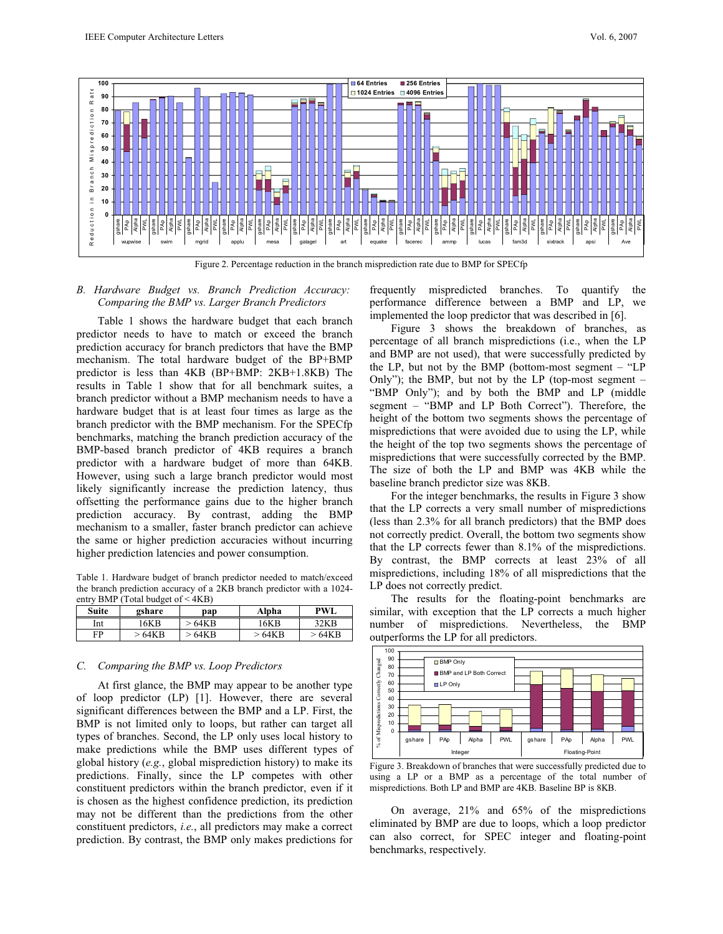

Figure 2. Percentage reduction in the branch misprediction rate due to BMP for SPECfp

# *B. Hardware Budget vs. Branch Prediction Accuracy: Comparing the BMP vs. Larger Branch Predictors*

Table 1 shows the hardware budget that each branch predictor needs to have to match or exceed the branch prediction accuracy for branch predictors that have the BMP mechanism. The total hardware budget of the BP+BMP predictor is less than 4KB (BP+BMP: 2KB+1.8KB) The results in Table 1 show that for all benchmark suites, a branch predictor without a BMP mechanism needs to have a hardware budget that is at least four times as large as the branch predictor with the BMP mechanism. For the SPECfp benchmarks, matching the branch prediction accuracy of the BMP-based branch predictor of 4KB requires a branch predictor with a hardware budget of more than 64KB. However, using such a large branch predictor would most likely significantly increase the prediction latency, thus offsetting the performance gains due to the higher branch prediction accuracy. By contrast, adding the BMP mechanism to a smaller, faster branch predictor can achieve the same or higher prediction accuracies without incurring higher prediction latencies and power consumption.

Table 1. Hardware budget of branch predictor needed to match/exceed the branch prediction accuracy of a 2KB branch predictor with a 1024 entry BMP (Total budget of < 4KB)

| Suite | gshare | pap    | Alpha | PWL   |
|-------|--------|--------|-------|-------|
| Int   | 6KB    | > 64KB | 16KB  | 32KB  |
| FP    | >64KB  | > 64KB | 64KB  | 64K B |

#### *C. Comparing the BMP vs. Loop Predictors*

At first glance, the BMP may appear to be another type of loop predictor (LP) [1]. However, there are several significant differences between the BMP and a LP. First, the BMP is not limited only to loops, but rather can target all types of branches. Second, the LP only uses local history to make predictions while the BMP uses different types of global history (*e.g.*, global misprediction history) to make its predictions. Finally, since the LP competes with other constituent predictors within the branch predictor, even if it is chosen as the highest confidence prediction, its prediction may not be different than the predictions from the other constituent predictors, *i.e.*, all predictors may make a correct prediction. By contrast, the BMP only makes predictions for

frequently mispredicted branches. To quantify the performance difference between a BMP and LP, we implemented the loop predictor that was described in [6].

Figure 3 shows the breakdown of branches, as percentage of all branch mispredictions (i.e., when the LP and BMP are not used), that were successfully predicted by the LP, but not by the BMP (bottom-most segment  $-$  "LP Only"); the BMP, but not by the LP (top-most segment  $-$ "BMP Only"); and by both the BMP and LP (middle segment – "BMP and LP Both Correct"). Therefore, the height of the bottom two segments shows the percentage of mispredictions that were avoided due to using the LP, while the height of the top two segments shows the percentage of mispredictions that were successfully corrected by the BMP. The size of both the LP and BMP was 4KB while the baseline branch predictor size was 8KB.

For the integer benchmarks, the results in Figure 3 show that the LP corrects a very small number of mispredictions (less than 2.3% for all branch predictors) that the BMP does not correctly predict. Overall, the bottom two segments show that the LP corrects fewer than 8.1% of the mispredictions. By contrast, the BMP corrects at least 23% of all mispredictions, including 18% of all mispredictions that the LP does not correctly predict.

The results for the floating-point benchmarks are similar, with exception that the LP corrects a much higher number of mispredictions. Nevertheless, the BMP outperforms the LP for all predictors.



Figure 3. Breakdown of branches that were successfully predicted due to using a LP or a BMP as a percentage of the total number of mispredictions. Both LP and BMP are 4KB. Baseline BP is 8KB.

On average, 21% and 65% of the mispredictions eliminated by BMP are due to loops, which a loop predictor can also correct, for SPEC integer and floating-point benchmarks, respectively.